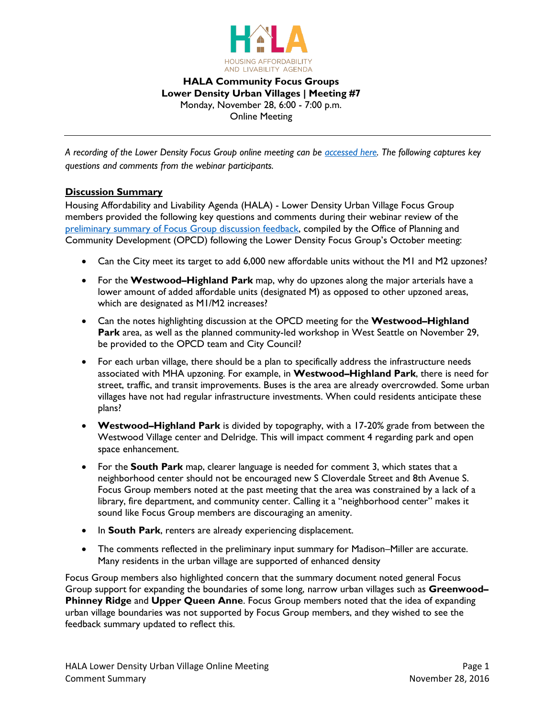

**HALA Community Focus Groups Lower Density Urban Villages | Meeting #7** Monday, November 28, 6:00 - 7:00 p.m. Online Meeting

*A recording of the Lower Density Focus Group online meeting can be [accessed here.](https://www.youtube.com/watch?v=Q1nd9BX7vyE&feature=youtu.be) The following captures key questions and comments from the webinar participants.*

# **Discussion Summary**

Housing Affordability and Livability Agenda (HALA) - Lower Density Urban Village Focus Group members provided the following key questions and comments during their webinar review of the [preliminary summary of Focus Group discussion feedback,](http://www.seattle.gov/Documents/Departments/HALA/FocusGroups/November/Focus%20Group%20MHA%20Summary%20Report_v5_Lower_Density.pdf) compiled by the Office of Planning and Community Development (OPCD) following the Lower Density Focus Group's October meeting:

- Can the City meet its target to add 6,000 new affordable units without the M1 and M2 upzones?
- For the **Westwood–Highland Park** map, why do upzones along the major arterials have a lower amount of added affordable units (designated M) as opposed to other upzoned areas, which are designated as M1/M2 increases?
- Can the notes highlighting discussion at the OPCD meeting for the **Westwood–Highland Park** area, as well as the planned community-led workshop in West Seattle on November 29, be provided to the OPCD team and City Council?
- For each urban village, there should be a plan to specifically address the infrastructure needs associated with MHA upzoning. For example, in **Westwood–Highland Park**, there is need for street, traffic, and transit improvements. Buses is the area are already overcrowded. Some urban villages have not had regular infrastructure investments. When could residents anticipate these plans?
- **Westwood–Highland Park** is divided by topography, with a 17-20% grade from between the Westwood Village center and Delridge. This will impact comment 4 regarding park and open space enhancement.
- For the **South Park** map, clearer language is needed for comment 3, which states that a neighborhood center should not be encouraged new S Cloverdale Street and 8th Avenue S. Focus Group members noted at the past meeting that the area was constrained by a lack of a library, fire department, and community center. Calling it a "neighborhood center" makes it sound like Focus Group members are discouraging an amenity.
- In **South Park**, renters are already experiencing displacement.
- The comments reflected in the preliminary input summary for Madison–Miller are accurate. Many residents in the urban village are supported of enhanced density

Focus Group members also highlighted concern that the summary document noted general Focus Group support for expanding the boundaries of some long, narrow urban villages such as **Greenwood– Phinney Ridge** and **Upper Queen Anne**. Focus Group members noted that the idea of expanding urban village boundaries was not supported by Focus Group members, and they wished to see the feedback summary updated to reflect this.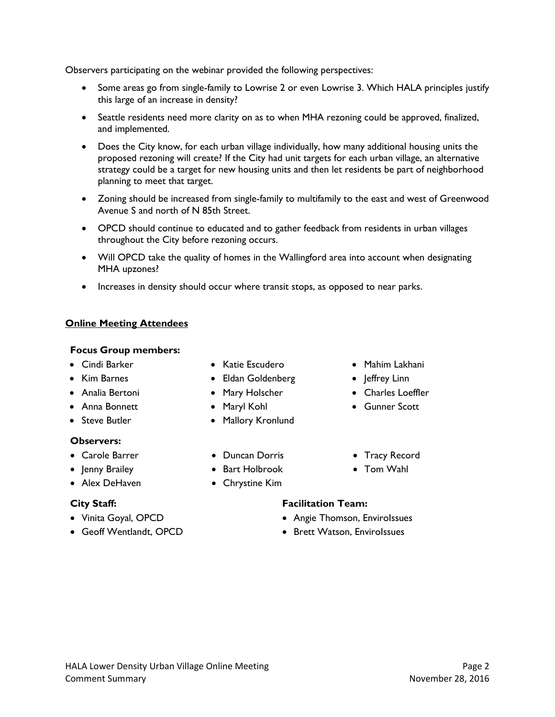strategy could be a target for new housing units and then let residents be part of neighborhood planning to meet that target.

this large of an increase in density?

and implemented.

Observers participating on the webinar provided the following perspectives:

 Zoning should be increased from single-family to multifamily to the east and west of Greenwood Avenue S and north of N 85th Street.

• Some areas go from single-family to Lowrise 2 or even Lowrise 3. Which HALA principles justify

• Seattle residents need more clarity on as to when MHA rezoning could be approved, finalized,

 Does the City know, for each urban village individually, how many additional housing units the proposed rezoning will create? If the City had unit targets for each urban village, an alternative

- OPCD should continue to educated and to gather feedback from residents in urban villages throughout the City before rezoning occurs.
- Will OPCD take the quality of homes in the Wallingford area into account when designating MHA upzones?
- Increases in density should occur where transit stops, as opposed to near parks.

# **Online Meeting Attendees**

#### **Focus Group members:**

- 
- 
- 
- 
- 

## **Observers:**

- 
- 
- 

- 
- 
- Cindi Barker Katie Escudero Mahim Lakhani
- Kim Barnes Eldan Goldenberg |effrey Linn
- Analia Bertoni Mary Holscher Charles Loeffler
- Anna Bonnett Maryl Kohl Gunner Scott
- Steve Butler **Caller** Mallory Kronlund
- Carole Barrer Duncan Dorris Tracy Record
- Jenny Brailey Bart Holbrook Tom Wahl
- Alex DeHaven Chrystine Kim

# **City Staff: Facilitation Team:**

- Vinita Goyal, OPCD  **Angie Thomson, Envirolssues**
- Geoff Wentlandt, OPCD Brett Watson, EnviroIssues
- 
- 
-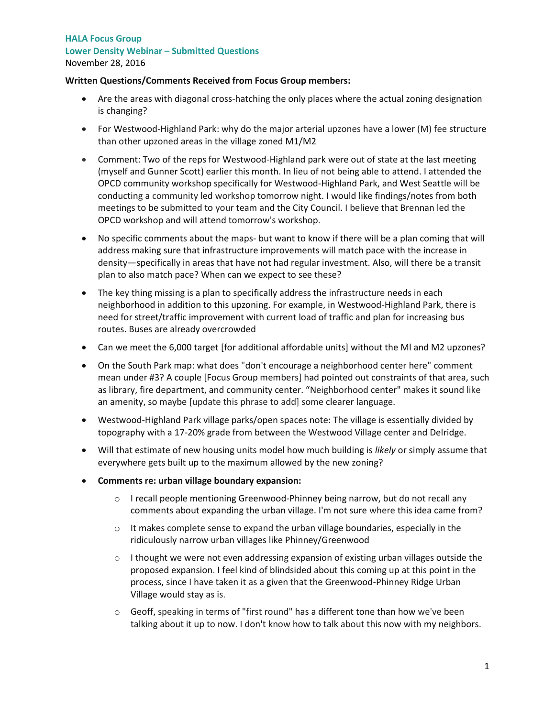# **HALA Focus Group Lower Density Webinar – Submitted Questions** November 28, 2016

## **Written Questions/Comments Received from Focus Group members:**

- Are the areas with diagonal cross-hatching the only places where the actual zoning designation is changing?
- For Westwood-Highland Park: why do the major arterial upzones have a lower (M) fee structure than other upzoned areas in the village zoned M1/M2
- Comment: Two of the reps for Westwood-Highland park were out of state at the last meeting (myself and Gunner Scott) earlier this month. In lieu of not being able to attend. I attended the OPCD community workshop specifically for Westwood-Highland Park, and West Seattle will be conducting a community led workshop tomorrow night. I would like findings/notes from both meetings to be submitted to your team and the City Council. I believe that Brennan led the OPCD workshop and will attend tomorrow's workshop.
- No specific comments about the maps- but want to know if there will be a plan coming that will address making sure that infrastructure improvements will match pace with the increase in density—specifically in areas that have not had regular investment. Also, will there be a transit plan to also match pace? When can we expect to see these?
- The key thing missing is a plan to specifically address the infrastructure needs in each neighborhood in addition to this upzoning. For example, in Westwood-Highland Park, there is need for street/traffic improvement with current load of traffic and plan for increasing bus routes. Buses are already overcrowded
- Can we meet the 6,000 target [for additional affordable units] without the Ml and M2 upzones?
- On the South Park map: what does "don't encourage a neighborhood center here" comment mean under #3? A couple [Focus Group members] had pointed out constraints of that area, such as library, fire department, and community center. "Neighborhood center" makes it sound like an amenity, so maybe [update this phrase to add] some clearer language.
- Westwood-Highland Park village parks/open spaces note: The village is essentially divided by topography with a 17-20% grade from between the Westwood Village center and Delridge.
- Will that estimate of new housing units model how much building is *likely* or simply assume that everywhere gets built up to the maximum allowed by the new zoning?
- **Comments re: urban village boundary expansion:**
	- $\circ$  I recall people mentioning Greenwood-Phinney being narrow, but do not recall any comments about expanding the urban village. I'm not sure where this idea came from?
	- $\circ$  It makes complete sense to expand the urban village boundaries, especially in the ridiculously narrow urban villages like Phinney/Greenwood
	- $\circ$  I thought we were not even addressing expansion of existing urban villages outside the proposed expansion. I feel kind of blindsided about this coming up at this point in the process, since I have taken it as a given that the Greenwood-Phinney Ridge Urban Village would stay as is.
	- o Geoff, speaking in terms of "first round" has a different tone than how we've been talking about it up to now. I don't know how to talk about this now with my neighbors.